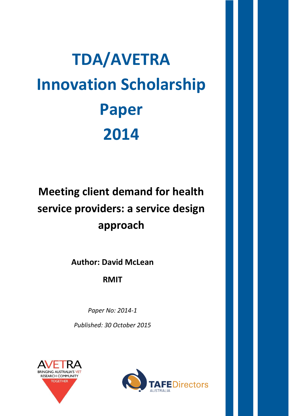# **TDA/AVETRA Innovation Scholarship Paper 2014**

# **Meeting client demand for health service providers: a service design approach**

**Author: David McLean**

**RMIT**

*Paper No: 2014-1*

*Published: 30 October 2015*



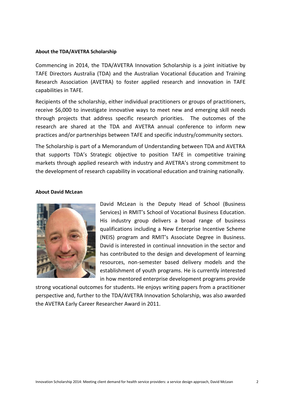#### **About the TDA/AVETRA Scholarship**

Commencing in 2014, the TDA/AVETRA Innovation Scholarship is a joint initiative by TAFE Directors Australia (TDA) and the Australian Vocational Education and Training Research Association (AVETRA) to foster applied research and innovation in TAFE capabilities in TAFE.

Recipients of the scholarship, either individual practitioners or groups of practitioners, receive \$6,000 to investigate innovative ways to meet new and emerging skill needs through projects that address specific research priorities. The outcomes of the research are shared at the TDA and AVETRA annual conference to inform new practices and/or partnerships between TAFE and specific industry/community sectors.

The Scholarship is part of a Memorandum of Understanding between TDA and AVETRA that supports TDA's Strategic objective to position TAFE in competitive training markets through applied research with industry and AVETRA's strong commitment to the development of research capability in vocational education and training nationally.

# **About David McLean**



David McLean is the Deputy Head of School (Business Services) in RMIT's School of Vocational Business Education. His industry group delivers a broad range of business qualifications including a New Enterprise Incentive Scheme (NEIS) program and RMIT's Associate Degree in Business. David is interested in continual innovation in the sector and has contributed to the design and development of learning resources, non-semester based delivery models and the establishment of youth programs. He is currently interested in how mentored enterprise development programs provide

<span id="page-1-0"></span>strong vocational outcomes for students. He enjoys writing papers from a practitioner perspective and, further to the TDA/AVETRA Innovation Scholarship, was also awarded the AVETRA Early Career Researcher Award in 2011.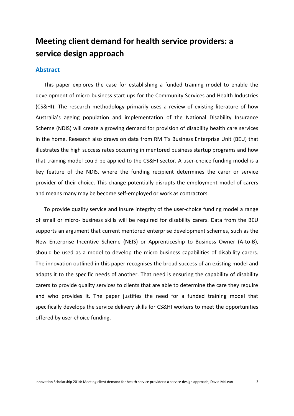# **Meeting client demand for health service providers: a service design approach**

# **Abstract**

This paper explores the case for establishing a funded training model to enable the development of micro-business start-ups for the Community Services and Health Industries (CS&HI). The research methodology primarily uses a review of existing literature of how Australia's ageing population and implementation of the National Disability Insurance Scheme (NDIS) will create a growing demand for provision of disability health care services in the home. Research also draws on data from RMIT's Business Enterprise Unit (BEU) that illustrates the high success rates occurring in mentored business startup programs and how that training model could be applied to the CS&HI sector. A user-choice funding model is a key feature of the NDIS, where the funding recipient determines the carer or service provider of their choice. This change potentially disrupts the employment model of carers and means many may be become self-employed or work as contractors.

To provide quality service and insure integrity of the user-choice funding model a range of small or micro- business skills will be required for disability carers. Data from the BEU supports an argument that current mentored enterprise development schemes, such as the New Enterprise Incentive Scheme (NEIS) or Apprenticeship to Business Owner (A-to-B), should be used as a model to develop the micro-business capabilities of disability carers. The innovation outlined in this paper recognises the broad success of an existing model and adapts it to the specific needs of another. That need is ensuring the capability of disability carers to provide quality services to clients that are able to determine the care they require and who provides it. The paper justifies the need for a funded training model that specifically develops the service delivery skills for CS&HI workers to meet the opportunities offered by user-choice funding.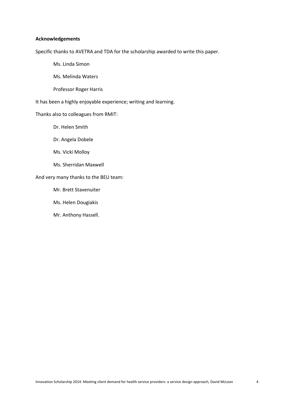### **Acknowledgements**

Specific thanks to AVETRA and TDA for the scholarship awarded to write this paper.

Ms. Linda Simon

Ms. Melinda Waters

Professor Roger Harris

It has been a highly enjoyable experience; writing and learning.

# Thanks also to colleagues from RMIT:

- Dr. Helen Smith
- Dr. Angela Dobele
- Ms. Vicki Molloy
- Ms. Sherridan Maxwell

# And very many thanks to the BEU team:

- Mr. Brett Stavenuiter
- Ms. Helen Dougiakis
- Mr. Anthony Hassell.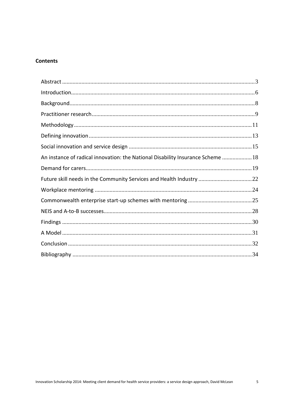# **Contents**

| An instance of radical innovation: the National Disability Insurance Scheme  18 |  |
|---------------------------------------------------------------------------------|--|
|                                                                                 |  |
| Future skill needs in the Community Services and Health Industry 22             |  |
|                                                                                 |  |
|                                                                                 |  |
|                                                                                 |  |
|                                                                                 |  |
|                                                                                 |  |
|                                                                                 |  |
|                                                                                 |  |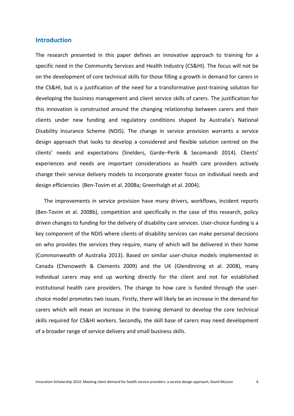# <span id="page-5-0"></span>**Introduction**

The research presented in this paper defines an innovative approach to training for a specific need in the Community Services and Health Industry (CS&HI). The focus will not be on the development of core technical skills for those filling a growth in demand for carers in the CS&HI, but is a justification of the need for a transformative post-training solution for developing the business management and client service skills of carers. The justification for this innovation is constructed around the changing relationship between carers and their clients under new funding and regulatory conditions shaped by Australia's National Disability Insurance Scheme (NDIS). The change in service provision warrants a service design approach that looks to develop a considered and flexible solution centred on the clients' needs and expectations (Snelders, Garde–[Perik & Secomandi 2014\)](#page-36-0). Clients' experiences and needs are important considerations as health care providers actively change their service delivery models to incorporate greater focus on individual needs and design efficiencies [\(Ben-Tovim et al. 2008a;](#page-33-1) [Greenhalgh et al. 2004\)](#page-34-0).

The improvements in service provision have many drivers, workflows, incident reports [\(Ben-Tovim et al. 2008b\)](#page-33-2), competition and specifically in the case of this research, policy driven changes to funding for the delivery of disability care services. User-choice funding is a key component of the NDIS where clients of disability services can make personal decisions on who provides the services they require, many of which will be delivered in their home [\(Commonwealth of Australia 2013\)](#page-33-3). Based on similar user-choice models implemented in Canada [\(Chenoweth & Clements 2009\)](#page-33-4) and the UK [\(Glendinning et al. 2008\)](#page-34-1), many individual carers may end up working directly for the client and not for established institutional health care providers. The change to how care is funded through the userchoice model promotes two issues. Firstly, there will likely be an increase in the demand for carers which will mean an increase in the training demand to develop the core technical skills required for CS&HI workers. Secondly, the skill base of carers may need development of a broader range of service delivery and small business skills.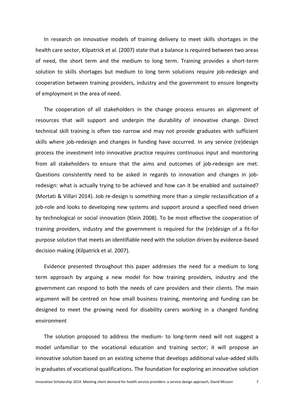In research on innovative models of training delivery to meet skills shortages in the health care sector, Kilpatrick et al. [\(2007\)](#page-35-0) state that a balance is required between two areas of need, the short term and the medium to long term. Training provides a short-term solution to skills shortages but medium to long term solutions require job-redesign and cooperation between training providers, industry and the government to ensure longevity of employment in the area of need.

The cooperation of all stakeholders in the change process ensures an alignment of resources that will support and underpin the durability of innovative change. Direct technical skill training is often too narrow and may not provide graduates with sufficient skills where job-redesign and changes in funding have occurred. In any service (re)design process the investment into innovative practice requires continuous input and monitoring from all stakeholders to ensure that the aims and outcomes of job-redesign are met. Questions consistently need to be asked in regards to innovation and changes in jobredesign: what is actually trying to be achieved and how can it be enabled and sustained? [\(Mortati & Villari 2014\)](#page-35-1). Job re-design is something more than a simple reclassification of a job-role and looks to developing new systems and support around a specified need driven by technological or social innovation [\(Klein 2008\)](#page-35-2). To be most effective the cooperation of training providers, industry and the government is required for the (re)design of a fit-for purpose solution that meets an identifiable need with the solution driven by evidence-based decision making [\(Kilpatrick et al. 2007\)](#page-35-0).

Evidence presented throughout this paper addresses the need for a medium to long term approach by arguing a new model for how training providers, industry and the government can respond to both the needs of care providers and their clients. The main argument will be centred on how small business training, mentoring and funding can be designed to meet the growing need for disability carers working in a changed funding environment

The solution proposed to address the medium- to long-term need will not suggest a model unfamiliar to the vocational education and training sector; it will propose an innovative solution based on an existing scheme that develops additional value-added skills in graduates of vocational qualifications. The foundation for exploring an innovative solution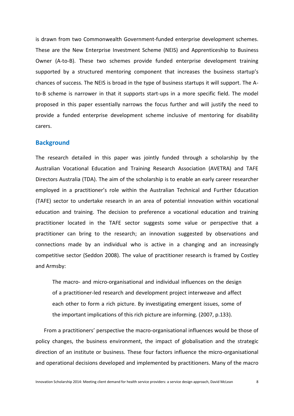is drawn from two Commonwealth Government-funded enterprise development schemes. These are the New Enterprise Investment Scheme (NEIS) and Apprenticeship to Business Owner (A-to-B). These two schemes provide funded enterprise development training supported by a structured mentoring component that increases the business startup's chances of success. The NEIS is broad in the type of business startups it will support. The Ato-B scheme is narrower in that it supports start-ups in a more specific field. The model proposed in this paper essentially narrows the focus further and will justify the need to provide a funded enterprise development scheme inclusive of mentoring for disability carers.

# <span id="page-7-0"></span>**Background**

The research detailed in this paper was jointly funded through a scholarship by the Australian Vocational Education and Training Research Association (AVETRA) and TAFE Directors Australia (TDA). The aim of the scholarship is to enable an early career researcher employed in a practitioner's role within the Australian Technical and Further Education (TAFE) sector to undertake research in an area of potential innovation within vocational education and training. The decision to preference a vocational education and training practitioner located in the TAFE sector suggests some value or perspective that a practitioner can bring to the research; an innovation suggested by observations and connections made by an individual who is active in a changing and an increasingly competitive sector [\(Seddon 2008\)](#page-36-1). The value of practitioner research is framed by Costley and Armsby:

The macro- and micro-organisational and individual influences on the design of a practitioner-led research and development project interweave and affect each other to form a rich picture. By investigating emergent issues, some of the important implications of this rich picture are informing. [\(2007, p.133\)](#page-33-5).

From a practitioners' perspective the macro-organisational influences would be those of policy changes, the business environment, the impact of globalisation and the strategic direction of an institute or business. These four factors influence the micro-organisational and operational decisions developed and implemented by practitioners. Many of the macro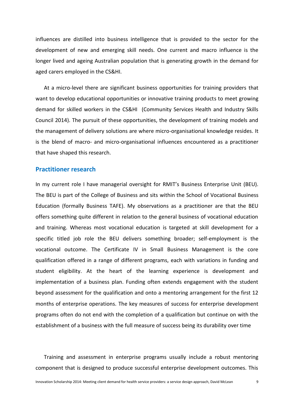influences are distilled into business intelligence that is provided to the sector for the development of new and emerging skill needs. One current and macro influence is the longer lived and ageing Australian population that is generating growth in the demand for aged carers employed in the CS&HI.

At a micro-level there are significant business opportunities for training providers that want to develop educational opportunities or innovative training products to meet growing demand for skilled workers in the CS&HI [\(Community Services Health and Industry Skills](#page-33-6)  [Council 2014\)](#page-33-6). The pursuit of these opportunities, the development of training models and the management of delivery solutions are where micro-organisational knowledge resides. It is the blend of macro- and micro-organisational influences encountered as a practitioner that have shaped this research.

# <span id="page-8-0"></span>**Practitioner research**

In my current role I have managerial oversight for RMIT's Business Enterprise Unit (BEU). The BEU is part of the College of Business and sits within the School of Vocational Business Education (formally Business TAFE). My observations as a practitioner are that the BEU offers something quite different in relation to the general business of vocational education and training. Whereas most vocational education is targeted at skill development for a specific titled job role the BEU delivers something broader; self-employment is the vocational outcome. The Certificate IV in Small Business Management is the core qualification offered in a range of different programs, each with variations in funding and student eligibility. At the heart of the learning experience is development and implementation of a business plan. Funding often extends engagement with the student beyond assessment for the qualification and onto a mentoring arrangement for the first 12 months of enterprise operations. The key measures of success for enterprise development programs often do not end with the completion of a qualification but continue on with the establishment of a business with the full measure of success being its durability over time

Training and assessment in enterprise programs usually include a robust mentoring component that is designed to produce successful enterprise development outcomes. This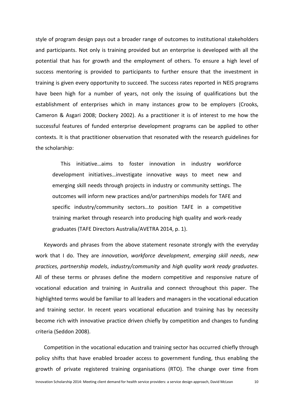style of program design pays out a broader range of outcomes to institutional stakeholders and participants. Not only is training provided but an enterprise is developed with all the potential that has for growth and the employment of others. To ensure a high level of success mentoring is provided to participants to further ensure that the investment in training is given every opportunity to succeed. The success rates reported in NEIS programs have been high for a number of years, not only the issuing of qualifications but the establishment of enterprises which in many instances grow to be employers [\(Crooks,](#page-33-7)  [Cameron & Asgari 2008;](#page-33-7) [Dockery 2002\)](#page-34-2). As a practitioner it is of interest to me how the successful features of funded enterprise development programs can be applied to other contexts. It is that practitioner observation that resonated with the research guidelines for the scholarship:

This initiative…aims to foster innovation in industry workforce development initiatives…investigate innovative ways to meet new and emerging skill needs through projects in industry or community settings. The outcomes will inform new practices and/or partnerships models for TAFE and specific industry/community sectors…to position TAFE in a competitive training market through research into producing high quality and work-ready graduates [\(TAFE Directors Australia/AVETRA 2014, p. 1\)](#page-36-2).

Keywords and phrases from the above statement resonate strongly with the everyday work that I do. They are *innovation*, *workforce development*, *emerging skill needs*, *new practices, partnership models*, *industry/community* and *high quality work ready graduates*. All of these terms or phrases define the modern competitive and responsive nature of vocational education and training in Australia and connect throughout this paper. The highlighted terms would be familiar to all leaders and managers in the vocational education and training sector. In recent years vocational education and training has by necessity become rich with innovative practice driven chiefly by competition and changes to funding criteria [\(Seddon 2008\)](#page-36-1).

Competition in the vocational education and training sector has occurred chiefly through policy shifts that have enabled broader access to government funding, thus enabling the growth of private registered training organisations (RTO). The change over time from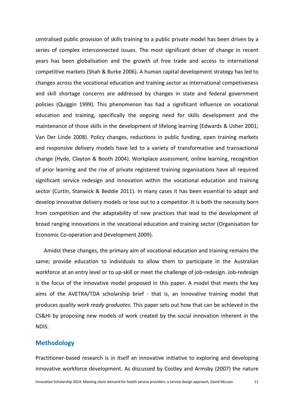centralised public provision of skills training to a public private model has been driven by a series of complex interconnected issues. The most significant driver of change in recent years has been globalisation and the growth of free trade and access to international competitive markets [\(Shah & Burke 2006\)](#page-36-3). A human capital development strategy has led to changes across the vocational education and training sector as international competiveness and skill shortage concerns are addressed by changes in state and federal government policies [\(Quiggin 1999\)](#page-36-4). This phenomenon has had a significant influence on vocational education and training, specifically the ongoing need for skills development and the maintenance of those skills in the development of lifelong learning [\(Edwards & Usher 2001;](#page-34-3) [Van Der Linde 2008\)](#page-36-5). Policy changes, reductions in public funding, open training markets and responsive delivery models have led to a variety of transformative and transactional change [\(Hyde, Clayton & Booth 2004\)](#page-34-4). Workplace assessment, online learning, recognition of prior learning and the rise of private registered training organisations have all required significant service redesign and innovation within the vocational education and training sector [\(Curtin, Stanwick & Beddie 2011\)](#page-34-5). In many cases it has been essential to adapt and develop innovative delivery models or lose out to a competitor. It is both the necessity born from competition and the adaptability of new practices that lead to the development of broad ranging innovations in the vocational education and training sector [\(Organisation for](#page-35-3)  [Economic Co-operation and Development 2009\)](#page-35-3).

Amidst these changes, the primary aim of vocational education and training remains the same; provide education to individuals to allow them to participate in the Australian workforce at an entry level or to up-skill or meet the challenge of job-redesign. Job-redesign is the focus of the innovative model proposed in this paper. A model that meets the key aims of the AVETRA/TDA scholarship brief - that is, an innovative training model that produces *quality work ready graduates.* This paper sets out how that can be achieved in the CS&HI by proposing new models of work created by the social innovation inherent in the NDIS.

# <span id="page-10-0"></span>**Methodology**

Practitioner-based research is in itself an innovative initiative to exploring and developing innovative workforce development. As discussed by Costley and Armsby [\(2007\)](#page-33-5) the nature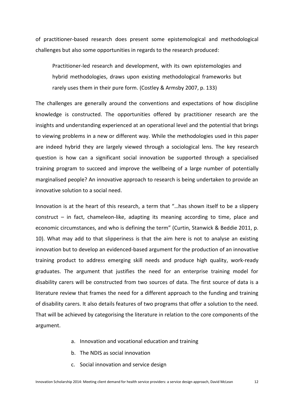of practitioner-based research does present some epistemological and methodological challenges but also some opportunities in regards to the research produced:

Practitioner-led research and development, with its own epistemologies and hybrid methodologies, draws upon existing methodological frameworks but rarely uses them in their pure form. [\(Costley & Armsby 2007, p. 133\)](#page-33-5)

The challenges are generally around the conventions and expectations of how discipline knowledge is constructed. The opportunities offered by practitioner research are the insights and understanding experienced at an operational level and the potential that brings to viewing problems in a new or different way. While the methodologies used in this paper are indeed hybrid they are largely viewed through a sociological lens. The key research question is how can a significant social innovation be supported through a specialised training program to succeed and improve the wellbeing of a large number of potentially marginalised people? An innovative approach to research is being undertaken to provide an innovative solution to a social need.

Innovation is at the heart of this research, a term that "…has shown itself to be a slippery construct – in fact, chameleon-like, adapting its meaning according to time, place and economic circumstances, and who is defining the term" [\(Curtin, Stanwick & Beddie 2011, p.](#page-34-5)  [10\)](#page-34-5). What may add to that slipperiness is that the aim here is not to analyse an existing innovation but to develop an evidenced-based argument for the production of an innovative training product to address emerging skill needs and produce high quality, work-ready graduates. The argument that justifies the need for an enterprise training model for disability carers will be constructed from two sources of data. The first source of data is a literature review that frames the need for a different approach to the funding and training of disability carers. It also details features of two programs that offer a solution to the need. That will be achieved by categorising the literature in relation to the core components of the argument.

- a. Innovation and vocational education and training
- b. The NDIS as social innovation
- c. Social innovation and service design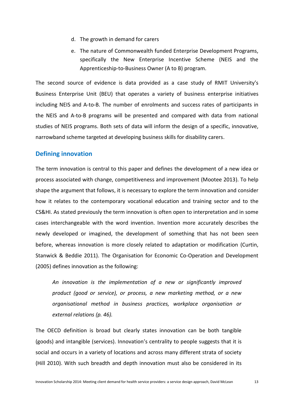- d. The growth in demand for carers
- e. The nature of Commonwealth funded Enterprise Development Programs, specifically the New Enterprise Incentive Scheme (NEIS and the Apprenticeship-to-Business Owner (A to B) program.

The second source of evidence is data provided as a case study of RMIT University's Business Enterprise Unit (BEU) that operates a variety of business enterprise initiatives including NEIS and A-to-B. The number of enrolments and success rates of participants in the NEIS and A-to-B programs will be presented and compared with data from national studies of NEIS programs. Both sets of data will inform the design of a specific, innovative, narrowband scheme targeted at developing business skills for disability carers.

# <span id="page-12-0"></span>**Defining innovation**

The term innovation is central to this paper and defines the development of a new idea or process associated with change, competitiveness and improvement [\(Mootee 2013\)](#page-35-4). To help shape the argument that follows, it is necessary to explore the term innovation and consider how it relates to the contemporary vocational education and training sector and to the CS&HI. As stated previously the term innovation is often open to interpretation and in some cases interchangeable with the word invention. Invention more accurately describes the newly developed or imagined, the development of something that has not been seen before, whereas innovation is more closely related to adaptation or modification [\(Curtin,](#page-34-5)  [Stanwick & Beddie 2011\)](#page-34-5). The Organisation for Economic Co-Operation and Development (2005) defines innovation as the following:

*An innovation is the implementation of a new or significantly improved product (good or service), or process, a new marketing method, or a new organisational method in business practices, workplace organisation or external relations [\(p. 46\)](#page-35-5).*

The OECD definition is broad but clearly states innovation can be both tangible (goods) and intangible (services). Innovation's centrality to people suggests that it is social and occurs in a variety of locations and across many different strata of society [\(Hill 2010\)](#page-34-6). With such breadth and depth innovation must also be considered in its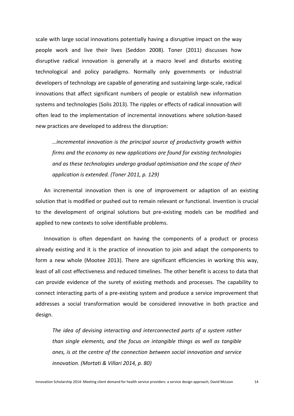scale with large social innovations potentially having a disruptive impact on the way people work and live their lives [\(Seddon 2008\)](#page-36-1). Toner [\(2011\)](#page-36-6) discusses how disruptive radical innovation is generally at a macro level and disturbs existing technological and policy paradigms. Normally only governments or industrial developers of technology are capable of generating and sustaining large-scale, radical innovations that affect significant numbers of people or establish new information systems and technologies [\(Solis 2013\)](#page-36-7). The ripples or effects of radical innovation will often lead to the implementation of incremental innovations where solution-based new practices are developed to address the disruption:

*…incremental innovation is the principal source of productivity growth within firms and the economy as new applications are found for existing technologies and as these technologies undergo gradual optimisation and the scope of their application is extended. [\(Toner 2011, p. 129\)](#page-36-6)*

An incremental innovation then is one of improvement or adaption of an existing solution that is modified or pushed out to remain relevant or functional. Invention is crucial to the development of original solutions but pre-existing models can be modified and applied to new contexts to solve identifiable problems.

Innovation is often dependant on having the components of a product or process already existing and it is the practice of innovation to join and adapt the components to form a new whole [\(Mootee 2013\)](#page-35-4). There are significant efficiencies in working this way, least of all cost effectiveness and reduced timelines. The other benefit is access to data that can provide evidence of the surety of existing methods and processes. The capability to connect interacting parts of a pre-existing system and produce a service improvement that addresses a social transformation would be considered innovative in both practice and design.

*The idea of devising interacting and interconnected parts of a system rather than single elements, and the focus on intangible things as well as tangible ones, is at the centre of the connection between social innovation and service innovation. [\(Mortati & Villari 2014, p. 80\)](#page-35-1)*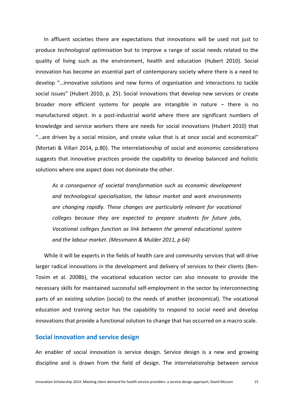In affluent societies there are expectations that innovations will be used not just to produce *technological optimisation* but to improve a range of social needs related to the quality of living such as the environment, health and education [\(Hubert 2010\)](#page-34-7). Social innovation has become an essential part of contemporary society where there is a need to develop "…innovative solutions and new forms of organisation and interactions to tackle social issues" (Hubert 2010, p. 25). Social innovations that develop new services or create broader more efficient systems for people are intangible in nature – there is no manufactured object. In a post-industrial world where there are significant numbers of knowledge and service workers there are needs for social innovations [\(Hubert 2010\)](#page-34-7) that "…are driven by a social mission, and create value that is at once social and economical" [\(Mortati & Villari 2014, p.80\)](#page-35-1). The interrelationship of social and economic considerations suggests that innovative practices provide the capability to develop balanced and holistic solutions where one aspect does not dominate the other.

*As a consequence of societal transformation such as economic development and technological specialisation, the labour market and work environments are changing rapidly. These changes are particularly relevant for vocational colleges because they are expected to prepare students for future jobs, Vocational colleges function as link between the general educational system and the labour market. [\(Messmann & Mulder 2011, p 64\)](#page-35-6)*

While it will be experts in the fields of health care and community services that will drive larger radical innovations in the development and delivery of services to their clients [\(Ben-](#page-33-2)[Tovim et al. 2008b\)](#page-33-2), the vocational education sector can also innovate to provide the necessary skills for maintained successful self-employment in the sector by interconnecting parts of an existing solution (social) to the needs of another (economical). The vocational education and training sector has the capability to respond to social need and develop innovations that provide a functional solution to change that has occurred on a macro scale.

# <span id="page-14-0"></span>**Social innovation and service design**

An enabler of social innovation is service design. Service design is a new and growing discipline and is drawn from the field of design. The interrelationship between service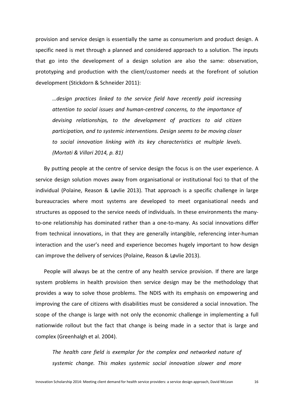provision and service design is essentially the same as consumerism and product design. A specific need is met through a planned and considered approach to a solution. The inputs that go into the development of a design solution are also the same: observation, prototyping and production with the client/customer needs at the forefront of solution development [\(Stickdorn & Schneider 2011\)](#page-36-8):

*…design practices linked to the service field have recently paid increasing attention to social issues and human-centred concerns, to the importance of devising relationships, to the development of practices to aid citizen participation, and to systemic interventions. Design seems to be moving closer to social innovation linking with its key characteristics at multiple levels. [\(Mortati & Villari 2014, p. 81\)](#page-35-1)*

By putting people at the centre of service design the focus is on the user experience. A service design solution moves away from organisational or institutional foci to that of the individual [\(Polaine, Reason & Løvlie 2013\)](#page-35-7). That approach is a specific challenge in large bureaucracies where most systems are developed to meet organisational needs and structures as opposed to the service needs of individuals. In these environments the manyto-one relationship has dominated rather than a one-to-many. As social innovations differ from technical innovations, in that they are generally intangible, referencing inter-human interaction and the user's need and experience becomes hugely important to how design can improve the delivery of services [\(Polaine, Reason & Løvlie 2013\)](#page-35-7).

People will always be at the centre of any health service provision. If there are large system problems in health provision then service design may be the methodology that provides a way to solve those problems. The NDIS with its emphasis on empowering and improving the care of citizens with disabilities must be considered a social innovation. The scope of the change is large with not only the economic challenge in implementing a full nationwide rollout but the fact that change is being made in a sector that is large and complex [\(Greenhalgh et al. 2004\)](#page-34-0).

*The health care field is exemplar for the complex and networked nature of systemic change. This makes systemic social innovation slower and more*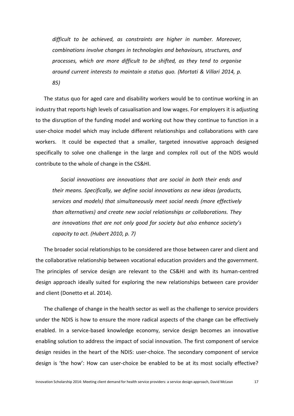*difficult to be achieved, as constraints are higher in number. Moreover, combinations involve changes in technologies and behaviours, structures, and processes, which are more difficult to be shifted, as they tend to organise around current interests to maintain a status quo. (Mortati & Villari 2014, p. 85)*

The status quo for aged care and disability workers would be to continue working in an industry that reports high levels of casualisation and low wages. For employers it is adjusting to the disruption of the funding model and working out how they continue to function in a user-choice model which may include different relationships and collaborations with care workers. It could be expected that a smaller, targeted innovative approach designed specifically to solve one challenge in the large and complex roll out of the NDIS would contribute to the whole of change in the CS&HI.

*Social innovations are innovations that are social in both their ends and their means. Specifically, we define social innovations as new ideas (products, services and models) that simultaneously meet social needs (more effectively than alternatives) and create new social relationships or collaborations. They are innovations that are not only good for society but also enhance society's capacity to act. [\(Hubert 2010, p. 7\)](#page-34-7)*

The broader social relationships to be considered are those between carer and client and the collaborative relationship between vocational education providers and the government. The principles of service design are relevant to the CS&HI and with its human-centred design approach ideally suited for exploring the new relationships between care provider and client (Donetto et al. 2014).

The challenge of change in the health sector as well as the challenge to service providers under the NDIS is how to ensure the more radical aspects of the change can be effectively enabled. In a service-based knowledge economy, service design becomes an innovative enabling solution to address the impact of social innovation. The first component of service design resides in the heart of the NDIS: user-choice. The secondary component of service design is 'the how': How can user-choice be enabled to be at its most socially effective?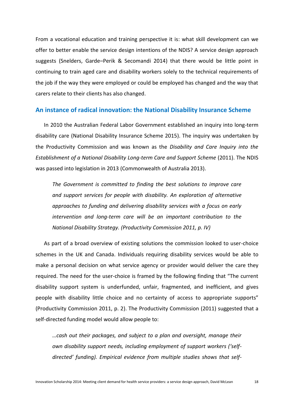From a vocational education and training perspective it is: what skill development can we offer to better enable the service design intentions of the NDIS? A service design approach suggests (Snelders, Garde–[Perik & Secomandi 2014\)](#page-36-0) that there would be little point in continuing to train aged care and disability workers solely to the technical requirements of the job if the way they were employed or could be employed has changed and the way that carers relate to their clients has also changed.

# <span id="page-17-0"></span>**An instance of radical innovation: the National Disability Insurance Scheme**

In 2010 the Australian Federal Labor Government established an inquiry into long-term disability care [\(National Disability Insurance Scheme 2015\)](#page-35-8). The inquiry was undertaken by the Productivity Commission and was known as the *Disability and Care Inquiry into the Establishment of a National Disability Long-term Care and Support Scheme* [\(2011\)](#page-36-9). The NDIS was passed into legislation in 2013 [\(Commonwealth of Australia 2013\)](#page-33-3).

*The Government is committed to finding the best solutions to improve care and support services for people with disability. An exploration of alternative approaches to funding and delivering disability services with a focus on early intervention and long-term care will be an important contribution to the National Disability Strategy. [\(Productivity Commission 2011, p. IV\)](#page-36-9)*

As part of a broad overview of existing solutions the commission looked to user-choice schemes in the UK and Canada. Individuals requiring disability services would be able to make a personal decision on what service agency or provider would deliver the care they required. The need for the user-choice is framed by the following finding that "The current disability support system is underfunded, unfair, fragmented, and inefficient, and gives people with disability little choice and no certainty of access to appropriate supports" [\(Productivity Commission 2011, p. 2\)](#page-36-9). The Productivity Commission (2011) suggested that a self-directed funding model would allow people to:

*…cash out their packages, and subject to a plan and oversight, manage their own disability support needs, including employment of support workers ('selfdirected' funding). Empirical evidence from multiple studies shows that self-*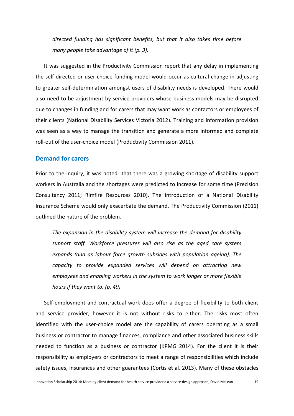*directed funding has significant benefits, but that it also takes time before many people take advantage of it [\(p. 3\)](#page-36-9).*

It was suggested in the Productivity Commission report that any delay in implementing the self-directed or user-choice funding model would occur as cultural change in adjusting to greater self-determination amongst users of disability needs is developed. There would also need to be adjustment by service providers whose business models may be disrupted due to changes in funding and for carers that may want work as contactors or employees of their clients [\(National Disability Services Victoria 2012\)](#page-35-9). Training and information provision was seen as a way to manage the transition and generate a more informed and complete roll-out of the user-choice model [\(Productivity Commission 2011\)](#page-36-9).

# <span id="page-18-0"></span>**Demand for carers**

Prior to the inquiry, it was noted that there was a growing shortage of disability support workers in Australia and the shortages were predicted to increase for some time [\(Precision](#page-35-10)  [Consultancy 2011;](#page-35-10) [Rimfire Resources 2010\)](#page-36-10). The introduction of a National Disability Insurance Scheme would only exacerbate the demand. The Productivity Commission (2011) outlined the nature of the problem.

*The expansion in the disability system will increase the demand for disability support staff. Workforce pressures will also rise as the aged care system expands (and as labour force growth subsides with population ageing). The capacity to provide expanded services will depend on attracting new employees and enabling workers in the system to work longer or more flexible hours if they want to. [\(p. 49\)](#page-36-9)*

Self-employment and contractual work does offer a degree of flexibility to both client and service provider, however it is not without risks to either. The risks most often identified with the user-choice model are the capability of carers operating as a small business or contractor to manage finances, compliance and other associated business skills needed to function as a business or contractor [\(KPMG 2014\)](#page-35-11). For the client it is their responsibility as employers or contractors to meet a range of responsibilities which include safety issues, insurances and other guarantees [\(Cortis et al. 2013\)](#page-33-8). Many of these obstacles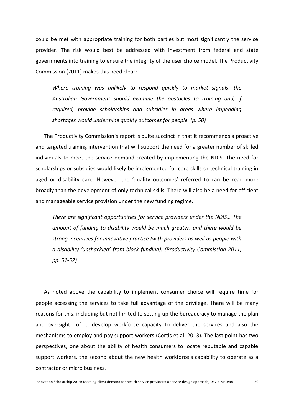could be met with appropriate training for both parties but most significantly the service provider. The risk would best be addressed with investment from federal and state governments into training to ensure the integrity of the user choice model. The Productivity Commission (2011) makes this need clear:

*Where training was unlikely to respond quickly to market signals, the Australian Government should examine the obstacles to training and, if required, provide scholarships and subsidies in areas where impending shortages would undermine quality outcomes for people. [\(p. 50\)](#page-36-9)*

The Productivity Commission's report is quite succinct in that it recommends a proactive and targeted training intervention that will support the need for a greater number of skilled individuals to meet the service demand created by implementing the NDIS. The need for scholarships or subsidies would likely be implemented for core skills or technical training in aged or disability care. However the 'quality outcomes' referred to can be read more broadly than the development of only technical skills. There will also be a need for efficient and manageable service provision under the new funding regime.

*There are significant opportunities for service providers under the NDIS… The amount of funding to disability would be much greater, and there would be strong incentives for innovative practice (with providers as well as people with a disability 'unshackled' from block funding). [\(Productivity Commission 2011,](#page-36-9)  [pp. 51-52\)](#page-36-9)*

As noted above the capability to implement consumer choice will require time for people accessing the services to take full advantage of the privilege. There will be many reasons for this, including but not limited to setting up the bureaucracy to manage the plan and oversight of it, develop workforce capacity to deliver the services and also the mechanisms to employ and pay support workers [\(Cortis et al. 2013\)](#page-33-8). The last point has two perspectives, one about the ability of health consumers to locate reputable and capable support workers, the second about the new health workforce's capability to operate as a contractor or micro business.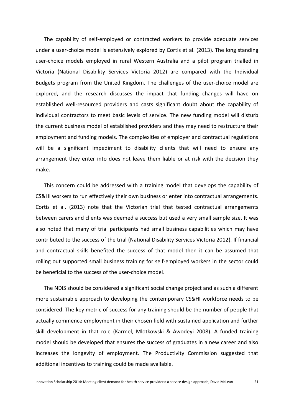The capability of self-employed or contracted workers to provide adequate services under a user-choice model is extensively explored by Cortis et al. [\(2013\)](#page-33-8). The long standing user-choice models employed in rural Western Australia and a pilot program trialled in Victoria [\(National Disability Services Victoria 2012\)](#page-35-9) are compared with the Individual Budgets program from the United Kingdom. The challenges of the user-choice model are explored, and the research discusses the impact that funding changes will have on established well-resourced providers and casts significant doubt about the capability of individual contractors to meet basic levels of service. The new funding model will disturb the current business model of established providers and they may need to restructure their employment and funding models. The complexities of employer and contractual regulations will be a significant impediment to disability clients that will need to ensure any arrangement they enter into does not leave them liable or at risk with the decision they make.

This concern could be addressed with a training model that develops the capability of CS&HI workers to run effectively their own business or enter into contractual arrangements. Cortis et al. [\(2013\)](#page-33-8) note that the Victorian trial that tested contractual arrangements between carers and clients was deemed a success but used a very small sample size. It was also noted that many of trial participants had small business capabilities which may have contributed to the success of the trial [\(National Disability Services Victoria 2012\)](#page-35-9). If financial and contractual skills benefited the success of that model then it can be assumed that rolling out supported small business training for self-employed workers in the sector could be beneficial to the success of the user-choice model.

The NDIS should be considered a significant social change project and as such a different more sustainable approach to developing the contemporary CS&HI workforce needs to be considered. The key metric of success for any training should be the number of people that actually commence employment in their chosen field with sustained application and further skill development in that role [\(Karmel, Mlotkowski & Awodeyi 2008\)](#page-35-12). A funded training model should be developed that ensures the success of graduates in a new career and also increases the longevity of employment. The Productivity Commission suggested that additional incentives to training could be made available.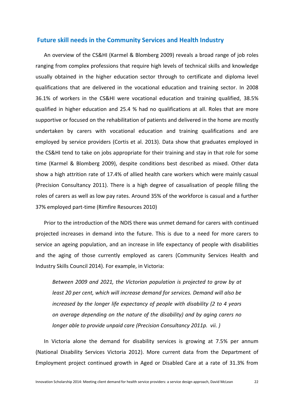# <span id="page-21-0"></span>**Future skill needs in the Community Services and Health Industry**

An overview of the CS&HI [\(Karmel & Blomberg 2009\)](#page-34-8) reveals a broad range of job roles ranging from complex professions that require high levels of technical skills and knowledge usually obtained in the higher education sector through to certificate and diploma level qualifications that are delivered in the vocational education and training sector. In 2008 36.1% of workers in the CS&HI were vocational education and training qualified, 38.5% qualified in higher education and 25.4 % had no qualifications at all. Roles that are more supportive or focused on the rehabilitation of patients and delivered in the home are mostly undertaken by carers with vocational education and training qualifications and are employed by service providers [\(Cortis et al. 2013\)](#page-33-8). Data show that graduates employed in the CS&HI tend to take on jobs appropriate for their training and stay in that role for some time [\(Karmel & Blomberg 2009\)](#page-34-8), despite conditions best described as mixed. Other data show a high attrition rate of 17.4% of allied health care workers which were mainly casual [\(Precision Consultancy 2011\)](#page-35-10). There is a high degree of casualisation of people filling the roles of carers as well as low pay rates. Around 35% of the workforce is casual and a further 37% employed part-time [\(Rimfire Resources 2010\)](#page-36-10)

Prior to the introduction of the NDIS there was unmet demand for carers with continued projected increases in demand into the future. This is due to a need for more carers to service an ageing population, and an increase in life expectancy of people with disabilities and the aging of those currently employed as carers [\(Community Services Health and](#page-33-6)  [Industry Skills Council 2014\)](#page-33-6). For example, in Victoria:

*Between 2009 and 2021, the Victorian population is projected to grow by at least 20 per cent, which will increase demand for services. Demand will also be increased by the longer life expectancy of people with disability (2 to 4 years on average depending on the nature of the disability) and by aging carers no longer able to provide unpaid care [\(Precision Consultancy 2011p. vii. \)](#page-35-10)*

In Victoria alone the demand for disability services is growing at 7.5% per annum [\(National Disability Services Victoria 2012\)](#page-35-9). More current data from the Department of Employment project continued growth in Aged or Disabled Care at a rate of 31.3% from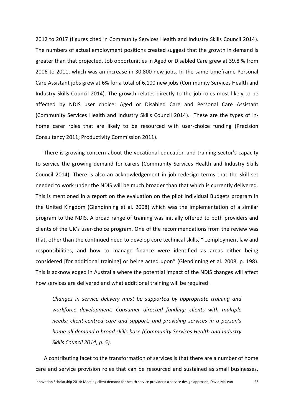2012 to 2017 [\(figures cited in Community Services Health and Industry Skills Council 2014\)](#page-33-6). The numbers of actual employment positions created suggest that the growth in demand is greater than that projected. Job opportunities in Aged or Disabled Care grew at 39.8 % from 2006 to 2011, which was an increase in 30,800 new jobs. In the same timeframe Personal Care Assistant jobs grew at 6% for a total of 6,100 new jobs [\(Community Services Health and](#page-33-6)  [Industry Skills Council 2014\)](#page-33-6). The growth relates directly to the job roles most likely to be affected by NDIS user choice: Aged or Disabled Care and Personal Care Assistant [\(Community Services Health and Industry Skills Council 2014\)](#page-33-6). These are the types of inhome carer roles that are likely to be resourced with user-choice funding [\(Precision](#page-35-10)  [Consultancy 2011;](#page-35-10) [Productivity Commission 2011\)](#page-36-9).

There is growing concern about the vocational education and training sector's capacity to service the growing demand for carers [\(Community Services Health and Industry Skills](#page-33-6)  [Council 2014\)](#page-33-6). There is also an acknowledgement in job-redesign terms that the skill set needed to work under the NDIS will be much broader than that which is currently delivered. This is mentioned in a report on the evaluation on the pilot Individual Budgets program in the United Kingdom [\(Glendinning et al. 2008\)](#page-34-1) which was the implementation of a similar program to the NDIS. A broad range of training was initially offered to both providers and clients of the UK's user-choice program. One of the recommendations from the review was that, other than the continued need to develop core technical skills, "…employment law and responsibilities, and how to manage finance were identified as areas either being considered [for additional training] or being acted upon" [\(Glendinning et al. 2008, p. 198\)](#page-34-1). This is acknowledged in Australia where the potential impact of the NDIS changes will affect how services are delivered and what additional training will be required:

*Changes in service delivery must be supported by appropriate training and workforce development. Consumer directed funding; clients with multiple needs; client-centred care and support; and providing services in a person's home all demand a broad skills base (Community Services Health and Industry Skills Council 2014, p. 5).*

A contributing facet to the transformation of services is that there are a number of home care and service provision roles that can be resourced and sustained as small businesses,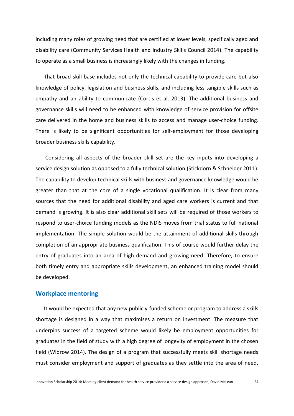including many roles of growing need that are certified at lower levels, specifically aged and disability care [\(Community Services Health and Industry Skills Council 2014\)](#page-33-6). The capability to operate as a small business is increasingly likely with the changes in funding.

That broad skill base includes not only the technical capability to provide care but also knowledge of policy, legislation and business skills, and including less tangible skills such as empathy and an ability to communicate [\(Cortis et al. 2013\)](#page-33-8). The additional business and governance skills will need to be enhanced with knowledge of service provision for offsite care delivered in the home and business skills to access and manage user-choice funding. There is likely to be significant opportunities for self-employment for those developing broader business skills capability.

Considering all aspects of the broader skill set are the key inputs into developing a service design solution as opposed to a fully technical solution [\(Stickdorn & Schneider 2011\)](#page-36-8). The capability to develop technical skills with business and governance knowledge would be greater than that at the core of a single vocational qualification. It is clear from many sources that the need for additional disability and aged care workers is current and that demand is growing. It is also clear additional skill sets will be required of those workers to respond to user-choice funding models as the NDIS moves from trial status to full national implementation. The simple solution would be the attainment of additional skills through completion of an appropriate business qualification. This of course would further delay the entry of graduates into an area of high demand and growing need. Therefore, to ensure both timely entry and appropriate skills development, an enhanced training model should be developed.

# <span id="page-23-0"></span>**Workplace mentoring**

It would be expected that any new publicly-funded scheme or program to address a skills shortage is designed in a way that maximises a return on investment. The measure that underpins success of a targeted scheme would likely be employment opportunities for graduates in the field of study with a high degree of longevity of employment in the chosen field [\(Wibrow 2014\)](#page-36-11). The design of a program that successfully meets skill shortage needs must consider employment and support of graduates as they settle into the area of need.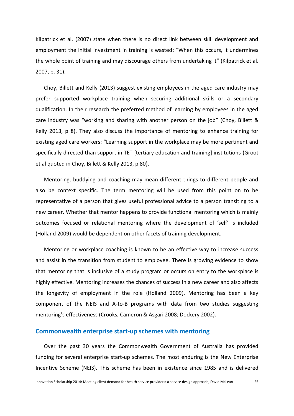Kilpatrick et al. [\(2007\)](#page-35-0) state when there is no direct link between skill development and employment the initial investment in training is wasted: "When this occurs, it undermines the whole point of training and may discourage others from undertaking it" [\(Kilpatrick et al.](#page-35-0)  [2007, p. 31\)](#page-35-0).

Choy, Billett and Kelly [\(2013\)](#page-33-9) suggest existing employees in the aged care industry may prefer supported workplace training when securing additional skills or a secondary qualification. In their research the preferred method of learning by employees in the aged care industry was "working and sharing with another person on the job" [\(Choy, Billett &](#page-33-9)  [Kelly 2013, p 8\)](#page-33-9). They also discuss the importance of mentoring to enhance training for existing aged care workers: "Learning support in the workplace may be more pertinent and specifically directed than support in TET [tertiary education and training] institutions [\(Groot](#page-33-9)  [et al quoted in Choy, Billett & Kelly 2013, p 80\)](#page-33-9).

Mentoring, buddying and coaching may mean different things to different people and also be context specific. The term mentoring will be used from this point on to be representative of a person that gives useful professional advice to a person transiting to a new career. Whether that mentor happens to provide functional mentoring which is mainly outcomes focused or relational mentoring where the development of 'self' is included [\(Holland 2009\)](#page-34-9) would be dependent on other facets of training development.

Mentoring or workplace coaching is known to be an effective way to increase success and assist in the transition from student to employee. There is growing evidence to show that mentoring that is inclusive of a study program or occurs on entry to the workplace is highly effective. Mentoring increases the chances of success in a new career and also affects the longevity of employment in the role [\(Holland 2009\)](#page-34-9). Mentoring has been a key component of the NEIS and A-to-B programs with data from two studies suggesting mentoring's effectiveness [\(Crooks, Cameron & Asgari 2008;](#page-33-7) [Dockery 2002\)](#page-34-2).

# <span id="page-24-0"></span>**Commonwealth enterprise start-up schemes with mentoring**

Over the past 30 years the Commonwealth Government of Australia has provided funding for several enterprise start-up schemes. The most enduring is the New Enterprise Incentive Scheme (NEIS). This scheme has been in existence since 1985 and is delivered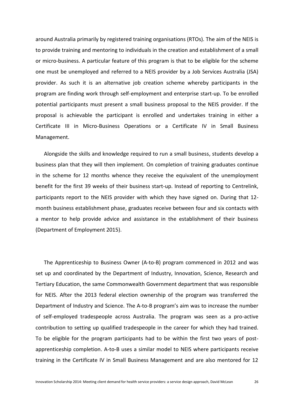around Australia primarily by registered training organisations (RTOs). The aim of the NEIS is to provide training and mentoring to individuals in the creation and establishment of a small or micro-business. A particular feature of this program is that to be eligible for the scheme one must be unemployed and referred to a NEIS provider by a Job Services Australia (JSA) provider. As such it is an alternative job creation scheme whereby participants in the program are finding work through self-employment and enterprise start-up. To be enrolled potential participants must present a small business proposal to the NEIS provider. If the proposal is achievable the participant is enrolled and undertakes training in either a Certificate III in Micro-Business Operations or a Certificate IV in Small Business Management.

Alongside the skills and knowledge required to run a small business, students develop a business plan that they will then implement. On completion of training graduates continue in the scheme for 12 months whence they receive the equivalent of the unemployment benefit for the first 39 weeks of their business start-up. Instead of reporting to Centrelink, participants report to the NEIS provider with which they have signed on. During that 12 month business establishment phase, graduates receive between four and six contacts with a mentor to help provide advice and assistance in the establishment of their business [\(Department of Employment 2015\)](#page-34-10).

The Apprenticeship to Business Owner (A-to-B) program commenced in 2012 and was set up and coordinated by the Department of Industry, Innovation, Science, Research and Tertiary Education, the same Commonwealth Government department that was responsible for NEIS. After the 2013 federal election ownership of the program was transferred the Department of Industry and Science. The A-to-B program's aim was to increase the number of self-employed tradespeople across Australia. The program was seen as a pro-active contribution to setting up qualified tradespeople in the career for which they had trained. To be eligible for the program participants had to be within the first two years of postapprenticeship completion. A-to-B uses a similar model to NEIS where participants receive training in the Certificate IV in Small Business Management and are also mentored for 12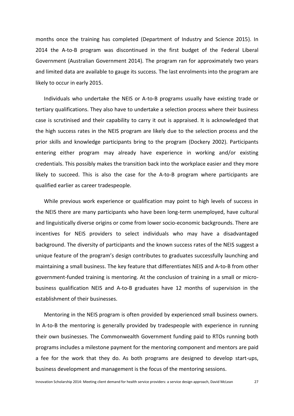months once the training has completed [\(Department of Industry and Science 2015\)](#page-34-11). In 2014 the A-to-B program was discontinued in the first budget of the Federal Liberal Government [\(Australian Government 2014\)](#page-33-10). The program ran for approximately two years and limited data are available to gauge its success. The last enrolments into the program are likely to occur in early 2015.

Individuals who undertake the NEIS or A-to-B programs usually have existing trade or tertiary qualifications. They also have to undertake a selection process where their business case is scrutinised and their capability to carry it out is appraised. It is acknowledged that the high success rates in the NEIS program are likely due to the selection process and the prior skills and knowledge participants bring to the program [\(Dockery 2002\)](#page-34-2). Participants entering either program may already have experience in working and/or existing credentials. This possibly makes the transition back into the workplace easier and they more likely to succeed. This is also the case for the A-to-B program where participants are qualified earlier as career tradespeople.

While previous work experience or qualification may point to high levels of success in the NEIS there are many participants who have been long-term unemployed, have cultural and linguistically diverse origins or come from lower socio-economic backgrounds. There are incentives for NEIS providers to select individuals who may have a disadvantaged background. The diversity of participants and the known success rates of the NEIS suggest a unique feature of the program's design contributes to graduates successfully launching and maintaining a small business. The key feature that differentiates NEIS and A-to-B from other government-funded training is mentoring. At the conclusion of training in a small or microbusiness qualification NEIS and A-to-B graduates have 12 months of supervision in the establishment of their businesses.

Mentoring in the NEIS program is often provided by experienced small business owners. In A-to-B the mentoring is generally provided by tradespeople with experience in running their own businesses. The Commonwealth Government funding paid to RTOs running both programs includes a milestone payment for the mentoring component and mentors are paid a fee for the work that they do. As both programs are designed to develop start-ups, business development and management is the focus of the mentoring sessions.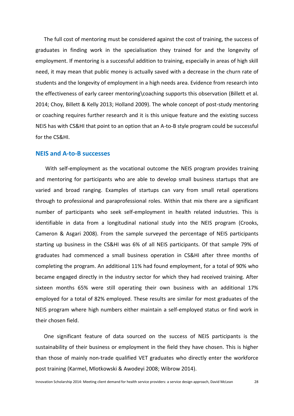The full cost of mentoring must be considered against the cost of training, the success of graduates in finding work in the specialisation they trained for and the longevity of employment. If mentoring is a successful addition to training, especially in areas of high skill need, it may mean that public money is actually saved with a decrease in the churn rate of students and the longevity of employment in a high needs area. Evidence from research into the effectiveness of early career mentoring\coaching supports this observation [\(Billett et al.](#page-33-11)  [2014;](#page-33-11) [Choy, Billett & Kelly 2013;](#page-33-9) [Holland 2009\)](#page-34-9). The whole concept of post-study mentoring or coaching requires further research and it is this unique feature and the existing success NEIS has with CS&HI that point to an option that an A-to-B style program could be successful for the CS&HI.

# <span id="page-27-0"></span>**NEIS and A-to-B successes**

With self-employment as the vocational outcome the NEIS program provides training and mentoring for participants who are able to develop small business startups that are varied and broad ranging. Examples of startups can vary from small retail operations through to professional and paraprofessional roles. Within that mix there are a significant number of participants who seek self-employment in health related industries. This is identifiable in data from a longitudinal national study into the NEIS program [\(Crooks,](#page-33-7)  [Cameron & Asgari 2008\)](#page-33-7). From the sample surveyed the percentage of NEIS participants starting up business in the CS&HI was 6% of all NEIS participants. Of that sample 79% of graduates had commenced a small business operation in CS&HI after three months of completing the program. An additional 11% had found employment, for a total of 90% who became engaged directly in the industry sector for which they had received training. After sixteen months 65% were still operating their own business with an additional 17% employed for a total of 82% employed. These results are similar for most graduates of the NEIS program where high numbers either maintain a self-employed status or find work in their chosen field.

One significant feature of data sourced on the success of NEIS participants is the sustainability of their business or employment in the field they have chosen. This is higher than those of mainly non-trade qualified VET graduates who directly enter the workforce post training [\(Karmel, Mlotkowski & Awodeyi 2008;](#page-35-12) [Wibrow 2014\)](#page-36-11).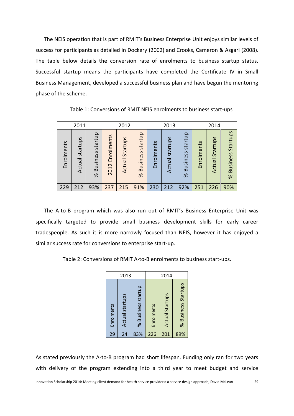The NEIS operation that is part of RMIT's Business Enterprise Unit enjoys similar levels of success for participants as detailed in Dockery [\(2002\)](#page-34-2) and Crooks, Cameron & Asgari [\(2008\)](#page-33-7). The table below details the conversion rate of enrolments to business startup status. Successful startup means the participants have completed the Certificate IV in Small Business Management, developed a successful business plan and have begun the mentoring phase of the scheme.

| 2011       |                    | 2012                            |                    | 2013               |                                 |            | 2014               |                                 |            |                    |                                         |
|------------|--------------------|---------------------------------|--------------------|--------------------|---------------------------------|------------|--------------------|---------------------------------|------------|--------------------|-----------------------------------------|
| Enrolments | startups<br>Actual | startup<br><b>Business</b><br>ৼ | Enrolments<br>2012 | Startups<br>Actual | startup<br><b>Business</b><br>৯ | Enrolments | startups<br>Actual | startup<br><b>Business</b><br>ৡ | Enrolments | Startups<br>Actual | Startups<br><b>Business</b><br>$\aleph$ |
| 229        | 212                | 93%                             | 237                | 215                | 91%                             | 230        | 212                | 92%                             | 251        | 226                | 90%                                     |

Table 1: Conversions of RMIT NEIS enrolments to business start-ups

The A-to-B program which was also run out of RMIT's Business Enterprise Unit was specifically targeted to provide small business development skills for early career tradespeople. As such it is more narrowly focused than NEIS, however it has enjoyed a similar success rate for conversions to enterprise start-up.

Table 2: Conversions of RMIT A-to-B enrolments to business start-ups.

| 2013                                 |                    | 2014       |                        |                     |  |
|--------------------------------------|--------------------|------------|------------------------|---------------------|--|
| <b>Actual startups</b><br>Enrolments | % Business startup | Enrolments | <b>Actual Startups</b> | % Business Startups |  |
| 29<br>24                             | 83%                | 226        | 201                    | 89%                 |  |

As stated previously the A-to-B program had short lifespan. Funding only ran for two years with delivery of the program extending into a third year to meet budget and service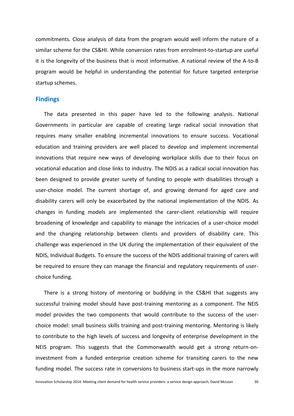commitments. Close analysis of data from the program would well inform the nature of a similar scheme for the CS&HI. While conversion rates from enrolment-to-startup are useful it is the longevity of the business that is most informative. A national review of the A-to-B program would be helpful in understanding the potential for future targeted enterprise startup schemes.

# <span id="page-29-0"></span>**Findings**

The data presented in this paper have led to the following analysis. National Governments in particular are capable of creating large radical social innovation that requires many smaller enabling incremental innovations to ensure success. Vocational education and training providers are well placed to develop and implement incremental innovations that require new ways of developing workplace skills due to their focus on vocational education and close links to industry. The NDIS as a radical social innovation has been designed to provide greater surety of funding to people with disabilities through a user-choice model. The current shortage of, and growing demand for aged care and disability carers will only be exacerbated by the national implementation of the NDIS. As changes in funding models are implemented the carer-client relationship will require broadening of knowledge and capability to manage the intricacies of a user-choice model and the changing relationship between clients and providers of disability care. This challenge was experienced in the UK during the implementation of their equivalent of the NDIS, Individual Budgets. To ensure the success of the NDIS additional training of carers will be required to ensure they can manage the financial and regulatory requirements of userchoice funding.

There is a strong history of mentoring or buddying in the CS&HI that suggests any successful training model should have post-training mentoring as a component. The NEIS model provides the two components that would contribute to the success of the userchoice model: small business skills training and post-training mentoring. Mentoring is likely to contribute to the high levels of success and longevity of enterprise development in the NEIS program. This suggests that the Commonwealth would get a strong return-oninvestment from a funded enterprise creation scheme for transiting carers to the new funding model. The success rate in conversions to business start-ups in the more narrowly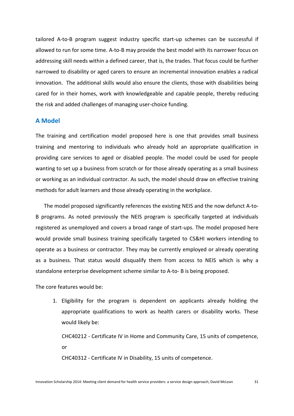tailored A-to-B program suggest industry specific start-up schemes can be successful if allowed to run for some time. A-to-B may provide the best model with its narrower focus on addressing skill needs within a defined career, that is, the trades. That focus could be further narrowed to disability or aged carers to ensure an incremental innovation enables a radical innovation. The additional skills would also ensure the clients, those with disabilities being cared for in their homes, work with knowledgeable and capable people, thereby reducing the risk and added challenges of managing user-choice funding.

# <span id="page-30-0"></span>**A Model**

The training and certification model proposed here is one that provides small business training and mentoring to individuals who already hold an appropriate qualification in providing care services to aged or disabled people. The model could be used for people wanting to set up a business from scratch or for those already operating as a small business or working as an individual contractor. As such, the model should draw on effective training methods for adult learners and those already operating in the workplace.

The model proposed significantly references the existing NEIS and the now defunct A-to-B programs. As noted previously the NEIS program is specifically targeted at individuals registered as unemployed and covers a broad range of start-ups. The model proposed here would provide small business training specifically targeted to CS&HI workers intending to operate as a business or contractor. They may be currently employed or already operating as a business. That status would disqualify them from access to NEIS which is why a standalone enterprise development scheme similar to A-to- B is being proposed.

The core features would be:

1. Eligibility for the program is dependent on applicants already holding the appropriate qualifications to work as health carers or disability works. These would likely be:

CHC40212 - Certificate IV in Home and Community Care, 15 units of competence, or

CHC40312 - Certificate IV in Disability, 15 units of competence.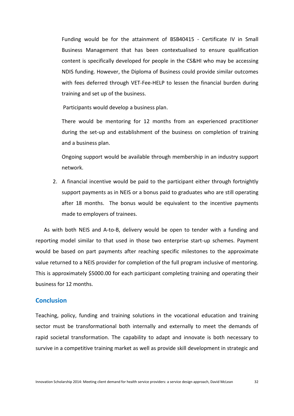Funding would be for the attainment of BSB40415 - Certificate IV in Small Business Management that has been contextualised to ensure qualification content is specifically developed for people in the CS&HI who may be accessing NDIS funding. However, the Diploma of Business could provide similar outcomes with fees deferred through VET-Fee-HELP to lessen the financial burden during training and set up of the business.

Participants would develop a business plan.

There would be mentoring for 12 months from an experienced practitioner during the set-up and establishment of the business on completion of training and a business plan.

Ongoing support would be available through membership in an industry support network.

2. A financial incentive would be paid to the participant either through fortnightly support payments as in NEIS or a bonus paid to graduates who are still operating after 18 months. The bonus would be equivalent to the incentive payments made to employers of trainees.

As with both NEIS and A-to-B, delivery would be open to tender with a funding and reporting model similar to that used in those two enterprise start-up schemes. Payment would be based on part payments after reaching specific milestones to the approximate value returned to a NEIS provider for completion of the full program inclusive of mentoring. This is approximately \$5000.00 for each participant completing training and operating their business for 12 months.

# <span id="page-31-0"></span>**Conclusion**

Teaching, policy, funding and training solutions in the vocational education and training sector must be transformational both internally and externally to meet the demands of rapid societal transformation. The capability to adapt and innovate is both necessary to survive in a competitive training market as well as provide skill development in strategic and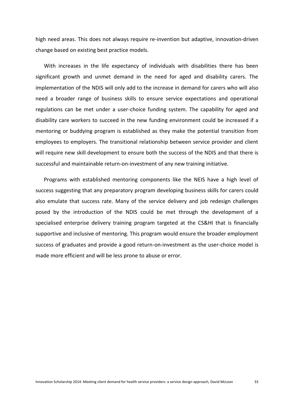high need areas. This does not always require re-invention but adaptive, innovation-driven change based on existing best practice models.

With increases in the life expectancy of individuals with disabilities there has been significant growth and unmet demand in the need for aged and disability carers. The implementation of the NDIS will only add to the increase in demand for carers who will also need a broader range of business skills to ensure service expectations and operational regulations can be met under a user-choice funding system. The capability for aged and disability care workers to succeed in the new funding environment could be increased if a mentoring or buddying program is established as they make the potential transition from employees to employers. The transitional relationship between service provider and client will require new skill development to ensure both the success of the NDIS and that there is successful and maintainable return-on-investment of any new training initiative.

Programs with established mentoring components like the NEIS have a high level of success suggesting that any preparatory program developing business skills for carers could also emulate that success rate. Many of the service delivery and job redesign challenges posed by the introduction of the NDIS could be met through the development of a specialised enterprise delivery training program targeted at the CS&HI that is financially supportive and inclusive of mentoring. This program would ensure the broader employment success of graduates and provide a good return-on-investment as the user-choice model is made more efficient and will be less prone to abuse or error.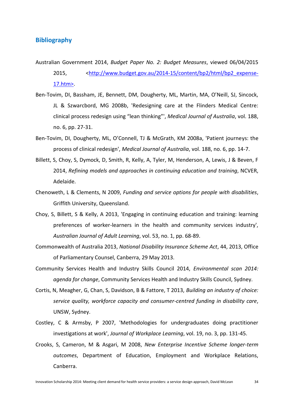# <span id="page-33-0"></span>**Bibliography**

- <span id="page-33-10"></span>Australian Government 2014, *Budget Paper No. 2: Budget Measures*, viewed 06/04/2015 2015, [<http://www.budget.gov.au/2014-15/content/bp2/html/bp2\\_expense-](http://www.budget.gov.au/2014-15/content/bp2/html/bp2_expense-17.htm%3e)[17.htm>.](http://www.budget.gov.au/2014-15/content/bp2/html/bp2_expense-17.htm%3e)
- <span id="page-33-2"></span>Ben-Tovim, DI, Bassham, JE, Bennett, DM, Dougherty, ML, Martin, MA, O'Neill, SJ, Sincock, JL & Szwarcbord, MG 2008b, 'Redesigning care at the Flinders Medical Centre: clinical process redesign using "lean thinking"', *Medical Journal of Australia*, vol. 188, no. 6, pp. 27-31.
- <span id="page-33-1"></span>Ben-Tovim, DI, Dougherty, ML, O'Connell, TJ & McGrath, KM 2008a, 'Patient journeys: the process of clinical redesign', *Medical Journal of Australia*, vol. 188, no. 6, pp. 14-7.
- <span id="page-33-11"></span>Billett, S, Choy, S, Dymock, D, Smith, R, Kelly, A, Tyler, M, Henderson, A, Lewis, J & Beven, F 2014, *Refining models and approaches in continuing education and training*, NCVER, Adelaide.
- <span id="page-33-4"></span>Chenoweth, L & Clements, N 2009, *Funding and service options for people with disabilities*, Griffith University, Queensland.
- <span id="page-33-9"></span>Choy, S, Billett, S & Kelly, A 2013, 'Engaging in continuing education and training: learning preferences of worker-learners in the health and community services industry', *Australian Journal of Adult Learning*, vol. 53, no. 1, pp. 68-89.
- <span id="page-33-3"></span>Commonwealth of Australia 2013, *National Disability Insurance Scheme Act*, 44, 2013, Office of Parliamentary Counsel, Canberra, 29 May 2013.
- <span id="page-33-6"></span>Community Services Health and Industry Skills Council 2014, *Environmental scan 2014: agenda for change*, Community Services Health and Industry Skills Council, Sydney.
- <span id="page-33-8"></span>Cortis, N, Meagher, G, Chan, S, Davidson, B & Fattore, T 2013, *Building an industry of choice: service quality, workforce capacity and consumer-centred funding in disability care*, UNSW, Sydney.
- <span id="page-33-5"></span>Costley, C & Armsby, P 2007, 'Methodologies for undergraduates doing practitioner investigations at work', *Journal of Workplace Learning*, vol. 19, no. 3, pp. 131-45.
- <span id="page-33-7"></span>Crooks, S, Cameron, M & Asgari, M 2008, *New Enterprise Incentive Scheme longer-term outcomes*, Department of Education, Employment and Workplace Relations, Canberra.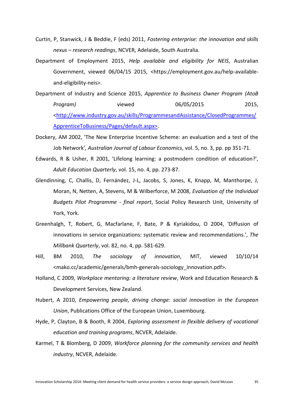- <span id="page-34-5"></span>Curtin, P, Stanwick, J & Beddie, F (eds) 2011, *Fostering enterprise: the innovation and skills nexus – research readings*, NCVER, Adelaide, South Australia.
- <span id="page-34-10"></span>Department of Employment 2015, *Help available and eligibility for NEIS*, Australian Government, viewed 06/04/15 2015, <https://employment.gov.au/help-availableand-eligibility-neis>.
- <span id="page-34-11"></span>Department of Industry and Science 2015, *Apprentice to Business Owner Program (AtoB Program)* viewed 06/05/2015 2015, [<http://www.industry.gov.au/skills/ProgrammesandAssistance/ClosedProgrammes/](http://www.industry.gov.au/skills/ProgrammesandAssistance/ClosedProgrammes/ApprenticeToBusiness/Pages/default.aspx%3e) [ApprenticeToBusiness/Pages/default.aspx>.](http://www.industry.gov.au/skills/ProgrammesandAssistance/ClosedProgrammes/ApprenticeToBusiness/Pages/default.aspx%3e)
- <span id="page-34-2"></span>Dockery, AM 2002, 'The New Enterprise Incentive Scheme: an evaluation and a test of the Job Network', *Australian Journal of Labour Economics*, vol. 5, no. 3, pp. pp 351-71.
- <span id="page-34-3"></span>Edwards, R & Usher, R 2001, 'Lifelong learning: a postmodern condition of education?', *Adult Education Quarterly*, vol. 15, no. 4, pp. 273-87.
- <span id="page-34-1"></span>Glendinning, C, Challis, D, Fernández, J-L, Jacobs, S, Jones, K, Knapp, M, Manthorpe, J, Moran, N, Netten, A, Stevens, M & Wilberforce, M 2008, *Evaluation of the Individual Budgets Pilot Programme - final report*, Social Policy Research Unit, University of York, York.
- <span id="page-34-0"></span>Greenhalgh, T, Robert, G, Macfarlane, F, Bate, P & Kyriakidou, O 2004, 'Diffusion of innovations in service organizations: systematic review and recommendations.', *The Millbank Quarterly*, vol. 82, no. 4, pp. 581-629.
- <span id="page-34-6"></span>Hill, BM 2010, *The sociology of innovation*, MIT, viewed 10/10/14 <mako.cc/academic/generals/bmh-generals-sociology\_innovation.pdf>.
- <span id="page-34-9"></span>Holland, C 2009, *Workplace mentoring: a literature review*, Work and Education Research & Development Services, New Zealand.
- <span id="page-34-7"></span>Hubert, A 2010, *Empowering people, driving change: social innovation in the European Union*, Publications Office of the European Union, Luxembourg.
- <span id="page-34-4"></span>Hyde, P, Clayton, B & Booth, R 2004, *Exploring assessment in flexible delivery of vocational education and training programs*, NCVER, Adelaide.
- <span id="page-34-8"></span>Karmel, T & Blomberg, D 2009, *Workforce planning for the community services and health industry*, NCVER, Adelaide.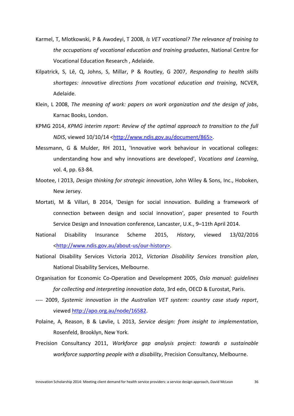- <span id="page-35-12"></span>Karmel, T, Mlotkowski, P & Awodeyi, T 2008, *Is VET vocational? The relevance of training to the occupations of vocational education and training graduates*, National Centre for Vocational Education Research , Adelaide.
- <span id="page-35-0"></span>Kilpatrick, S, Lê, Q, Johns, S, Millar, P & Routley, G 2007, *Responding to health skills shortages: innovative directions from vocational education and training*, NCVER, Adelaide.
- <span id="page-35-2"></span>Klein, L 2008, *The meaning of work: papers on work organization and the design of jobs*, Karnac Books, London.
- <span id="page-35-11"></span>KPMG 2014, *KPMG interim report: Review of the optimal approach to transition to the full NDIS*, viewed 10/10/14 [<http://www.ndis.gov.au/document/865>.](http://www.ndis.gov.au/document/865%3e)
- <span id="page-35-6"></span>Messmann, G & Mulder, RH 2011, 'Innovative work behaviour in vocational colleges: understanding how and why innovations are developed', *Vocations and Learning*, vol. 4, pp. 63-84.
- <span id="page-35-4"></span>Mootee, I 2013, *Design thinking for strategic innovation*, John Wiley & Sons, Inc., Hoboken, New Jersey.
- <span id="page-35-1"></span>Mortati, M & Villari, B 2014, 'Design for social innovation. Building a framework of connection between design and social innovation', paper presented to Fourth Service Design and Innovation conference, Lancaster, U.K., 9–11th April 2014.
- <span id="page-35-8"></span>National Disability Insurance Scheme 2015, *History*, viewed 13/02/2016 [<http://www.ndis.gov.au/about-us/our-history>.](http://www.ndis.gov.au/about-us/our-history%3e)
- <span id="page-35-9"></span>National Disability Services Victoria 2012, *Victorian Disability Services transition plan*, National Disability Services, Melbourne.
- <span id="page-35-5"></span>Organisation for Economic Co-Operation and Development 2005, *Oslo manual: guidelines for collecting and interpreting innovation data*, 3rd edn, OECD & Eurostat, Paris.
- <span id="page-35-3"></span>---- 2009, *Systemic innovation in the Australian VET system: country case study report*, viewed [http://apo.org.au/node/16582.](http://apo.org.au/node/16582)
- <span id="page-35-7"></span>Polaine, A, Reason, B & Løvlie, L 2013, *Service design: from insight to implementation*, Rosenfeld, Brooklyn, New York.
- <span id="page-35-10"></span>Precision Consultancy 2011, *Workforce gap analysis project: towards a sustainable workforce supporting people with a disability*, Precision Consultancy, Melbourne.